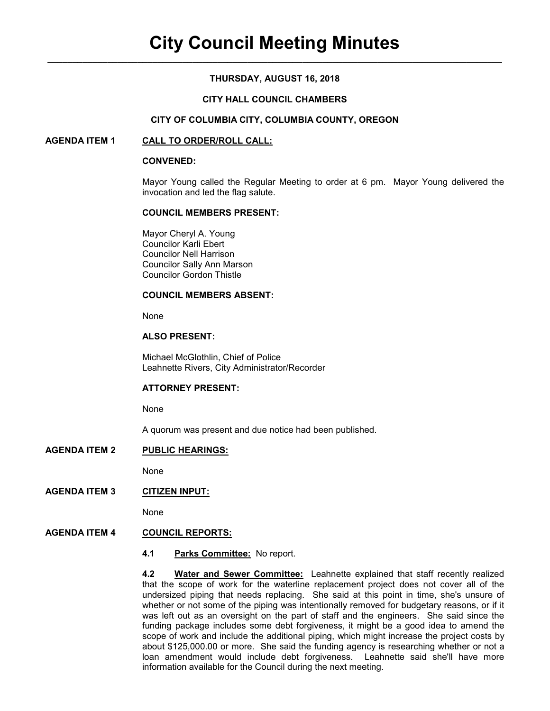# **THURSDAY, AUGUST 16, 2018**

### **CITY HALL COUNCIL CHAMBERS**

### **CITY OF COLUMBIA CITY, COLUMBIA COUNTY, OREGON**

### **AGENDA ITEM 1 CALL TO ORDER/ROLL CALL:**

#### **CONVENED:**

Mayor Young called the Regular Meeting to order at 6 pm. Mayor Young delivered the invocation and led the flag salute.

#### **COUNCIL MEMBERS PRESENT:**

 Mayor Cheryl A. Young Councilor Karli Ebert Councilor Nell Harrison Councilor Sally Ann Marson Councilor Gordon Thistle

#### **COUNCIL MEMBERS ABSENT:**

None

### **ALSO PRESENT:**

Michael McGlothlin, Chief of Police Leahnette Rivers, City Administrator/Recorder

# **ATTORNEY PRESENT:**

None

A quorum was present and due notice had been published.

### **AGENDA ITEM 2 PUBLIC HEARINGS:**

None

# **AGENDA ITEM 3 CITIZEN INPUT:**

None

# **AGENDA ITEM 4 COUNCIL REPORTS:**

**4.1 Parks Committee:** No report.

**4.2 Water and Sewer Committee:** Leahnette explained that staff recently realized that the scope of work for the waterline replacement project does not cover all of the undersized piping that needs replacing. She said at this point in time, she's unsure of whether or not some of the piping was intentionally removed for budgetary reasons, or if it was left out as an oversight on the part of staff and the engineers. She said since the funding package includes some debt forgiveness, it might be a good idea to amend the scope of work and include the additional piping, which might increase the project costs by about \$125,000.00 or more. She said the funding agency is researching whether or not a loan amendment would include debt forgiveness. Leahnette said she'll have more information available for the Council during the next meeting.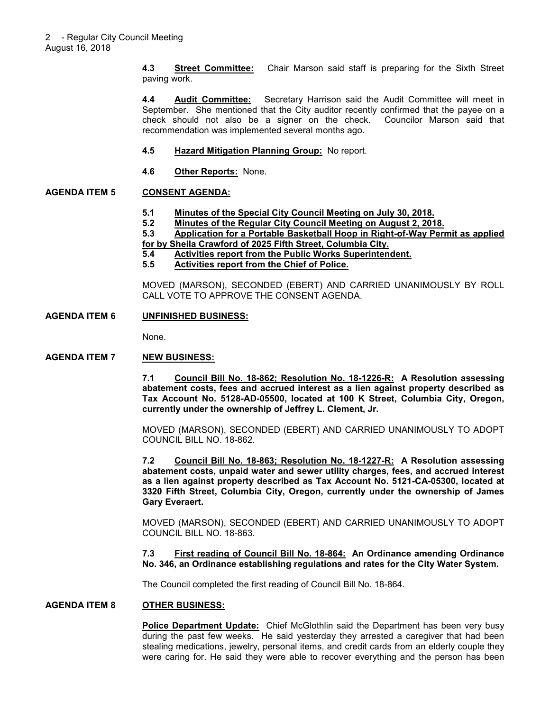**4.3 Street Committee:** Chair Marson said staff is preparing for the Sixth Street paving work.

**4.4 Audit Committee:** Secretary Harrison said the Audit Committee will meet in September. She mentioned that the City auditor recently confirmed that the payee on a check should not also be a signer on the check. Councilor Marson said that recommendation was implemented several months ago.

- **4.5 Hazard Mitigation Planning Group:** No report.
- **4.6 Other Reports:** None.

### **AGENDA ITEM 5 CONSENT AGENDA:**

- **5.1 Minutes of the Special City Council Meeting on July 30, 2018.**
- **5.2 Minutes of the Regular City Council Meeting on August 2, 2018.**
- **5.3 Application for a Portable Basketball Hoop in Right-of-Way Permit as applied for by Sheila Crawford of 2025 Fifth Street, Columbia City.**
- **5.4 Activities report from the Public Works Superintendent.**
- **5.5 Activities report from the Chief of Police.**

MOVED (MARSON), SECONDED (EBERT) AND CARRIED UNANIMOUSLY BY ROLL CALL VOTE TO APPROVE THE CONSENT AGENDA.

### **AGENDA ITEM 6 UNFINISHED BUSINESS:**

None.

# **AGENDA ITEM 7 NEW BUSINESS:**

**7.1 Council Bill No. 18-862; Resolution No. 18-1226-R: A Resolution assessing abatement costs, fees and accrued interest as a lien against property described as Tax Account No. 5128-AD-05500, located at 100 K Street, Columbia City, Oregon, currently under the ownership of Jeffrey L. Clement, Jr.** 

MOVED (MARSON), SECONDED (EBERT) AND CARRIED UNANIMOUSLY TO ADOPT COUNCIL BILL NO. 18-862.

**7.2 Council Bill No. 18-863; Resolution No. 18-1227-R: A Resolution assessing abatement costs, unpaid water and sewer utility charges, fees, and accrued interest as a lien against property described as Tax Account No. 5121-CA-05300, located at 3320 Fifth Street, Columbia City, Oregon, currently under the ownership of James Gary Everaert.** 

MOVED (MARSON), SECONDED (EBERT) AND CARRIED UNANIMOUSLY TO ADOPT COUNCIL BILL NO. 18-863.

**7.3 First reading of Council Bill No. 18-864: An Ordinance amending Ordinance No. 346, an Ordinance establishing regulations and rates for the City Water System.** 

The Council completed the first reading of Council Bill No. 18-864.

#### **AGENDA ITEM 8 OTHER BUSINESS:**

**Police Department Update:** Chief McGlothlin said the Department has been very busy during the past few weeks. He said yesterday they arrested a caregiver that had been stealing medications, jewelry, personal items, and credit cards from an elderly couple they were caring for. He said they were able to recover everything and the person has been